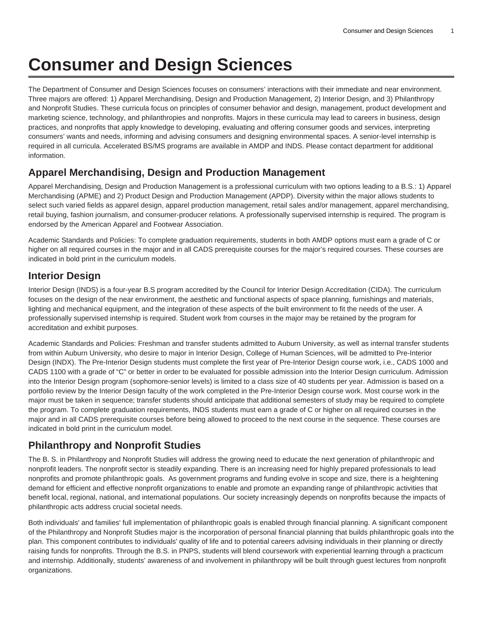# **Consumer and Design Sciences**

The Department of Consumer and Design Sciences focuses on consumers' interactions with their immediate and near environment. Three majors are offered: 1) Apparel Merchandising, Design and Production Management, 2) Interior Design, and 3) Philanthropy and Nonprofit Studies. These curricula focus on principles of consumer behavior and design, management, product development and marketing science, technology, and philanthropies and nonprofits. Majors in these curricula may lead to careers in business, design practices, and nonprofits that apply knowledge to developing, evaluating and offering consumer goods and services, interpreting consumers' wants and needs, informing and advising consumers and designing environmental spaces. A senior-level internship is required in all curricula. Accelerated BS/MS programs are available in AMDP and INDS. Please contact department for additional information.

### **Apparel Merchandising, Design and Production Management**

Apparel Merchandising, Design and Production Management is a professional curriculum with two options leading to a B.S.: 1) Apparel Merchandising (APME) and 2) Product Design and Production Management (APDP). Diversity within the major allows students to select such varied fields as apparel design, apparel production management, retail sales and/or management, apparel merchandising, retail buying, fashion journalism, and consumer-producer relations. A professionally supervised internship is required. The program is endorsed by the American Apparel and Footwear Association.

Academic Standards and Policies: To complete graduation requirements, students in both AMDP options must earn a grade of C or higher on all required courses in the major and in all CADS prerequisite courses for the major's required courses. These courses are indicated in bold print in the curriculum models.

## **Interior Design**

Interior Design (INDS) is a four-year B.S program accredited by the Council for Interior Design Accreditation (CIDA). The curriculum focuses on the design of the near environment, the aesthetic and functional aspects of space planning, furnishings and materials, lighting and mechanical equipment, and the integration of these aspects of the built environment to fit the needs of the user. A professionally supervised internship is required. Student work from courses in the major may be retained by the program for accreditation and exhibit purposes.

Academic Standards and Policies: Freshman and transfer students admitted to Auburn University, as well as internal transfer students from within Auburn University, who desire to major in Interior Design, College of Human Sciences, will be admitted to Pre-Interior Design (INDX). The Pre-Interior Design students must complete the first year of Pre-Interior Design course work, i.e., CADS 1000 and CADS 1100 with a grade of "C" or better in order to be evaluated for possible admission into the Interior Design curriculum. Admission into the Interior Design program (sophomore-senior levels) is limited to a class size of 40 students per year. Admission is based on a portfolio review by the Interior Design faculty of the work completed in the Pre-Interior Design course work. Most course work in the major must be taken in sequence; transfer students should anticipate that additional semesters of study may be required to complete the program. To complete graduation requirements, INDS students must earn a grade of C or higher on all required courses in the major and in all CADS prerequisite courses before being allowed to proceed to the next course in the sequence. These courses are indicated in bold print in the curriculum model.

## **Philanthropy and Nonprofit Studies**

The B. S. in Philanthropy and Nonprofit Studies will address the growing need to educate the next generation of philanthropic and nonprofit leaders. The nonprofit sector is steadily expanding. There is an increasing need for highly prepared professionals to lead nonprofits and promote philanthropic goals. As government programs and funding evolve in scope and size, there is a heightening demand for efficient and effective nonprofit organizations to enable and promote an expanding range of philanthropic activities that benefit local, regional, national, and international populations. Our society increasingly depends on nonprofits because the impacts of philanthropic acts address crucial societal needs.

Both individuals' and families' full implementation of philanthropic goals is enabled through financial planning. A significant component of the Philanthropy and Nonprofit Studies major is the incorporation of personal financial planning that builds philanthropic goals into the plan. This component contributes to individuals' quality of life and to potential careers advising individuals in their planning or directly raising funds for nonprofits. Through the B.S. in PNPS, students will blend coursework with experiential learning through a practicum and internship. Additionally, students' awareness of and involvement in philanthropy will be built through guest lectures from nonprofit organizations.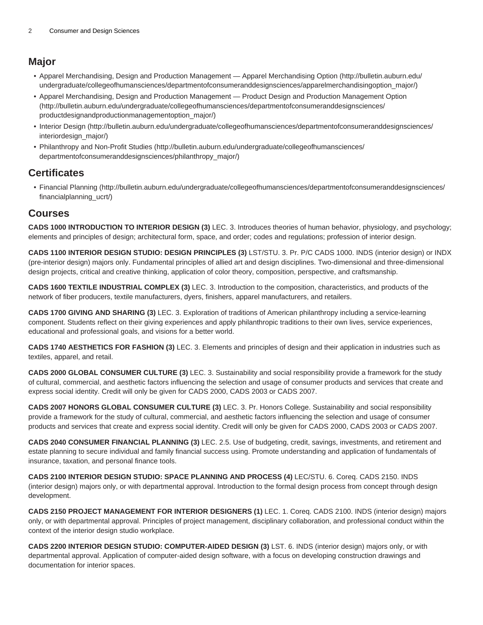#### **Major**

- [Apparel Merchandising, Design and Production Management Apparel Merchandising Option](http://bulletin.auburn.edu/undergraduate/collegeofhumansciences/departmentofconsumeranddesignsciences/apparelmerchandisingoption_major/) ([http://bulletin.auburn.edu/](http://bulletin.auburn.edu/undergraduate/collegeofhumansciences/departmentofconsumeranddesignsciences/apparelmerchandisingoption_major/) [undergraduate/collegeofhumansciences/departmentofconsumeranddesignsciences/apparelmerchandisingoption\\_major/\)](http://bulletin.auburn.edu/undergraduate/collegeofhumansciences/departmentofconsumeranddesignsciences/apparelmerchandisingoption_major/)
- [Apparel Merchandising, Design and Production Management Product Design and Production Management Option](http://bulletin.auburn.edu/undergraduate/collegeofhumansciences/departmentofconsumeranddesignsciences/productdesignandproductionmanagementoption_major/) ([http://bulletin.auburn.edu/undergraduate/collegeofhumansciences/departmentofconsumeranddesignsciences/](http://bulletin.auburn.edu/undergraduate/collegeofhumansciences/departmentofconsumeranddesignsciences/productdesignandproductionmanagementoption_major/) [productdesignandproductionmanagementoption\\_major/\)](http://bulletin.auburn.edu/undergraduate/collegeofhumansciences/departmentofconsumeranddesignsciences/productdesignandproductionmanagementoption_major/)
- [Interior Design \(http://bulletin.auburn.edu/undergraduate/collegeofhumansciences/departmentofconsumeranddesignsciences/](http://bulletin.auburn.edu/undergraduate/collegeofhumansciences/departmentofconsumeranddesignsciences/interiordesign_major/) [interiordesign\\_major/](http://bulletin.auburn.edu/undergraduate/collegeofhumansciences/departmentofconsumeranddesignsciences/interiordesign_major/))
- [Philanthropy and Non-Profit Studies](http://bulletin.auburn.edu/undergraduate/collegeofhumansciences/departmentofconsumeranddesignsciences/philanthropy_major/) ([http://bulletin.auburn.edu/undergraduate/collegeofhumansciences/](http://bulletin.auburn.edu/undergraduate/collegeofhumansciences/departmentofconsumeranddesignsciences/philanthropy_major/) [departmentofconsumeranddesignsciences/philanthropy\\_major/\)](http://bulletin.auburn.edu/undergraduate/collegeofhumansciences/departmentofconsumeranddesignsciences/philanthropy_major/)

#### **Certificates**

• [Financial Planning \(http://bulletin.auburn.edu/undergraduate/collegeofhumansciences/departmentofconsumeranddesignsciences/](http://bulletin.auburn.edu/undergraduate/collegeofhumansciences/departmentofconsumeranddesignsciences/financialplanning_ucrt/) [financialplanning\\_ucrt/\)](http://bulletin.auburn.edu/undergraduate/collegeofhumansciences/departmentofconsumeranddesignsciences/financialplanning_ucrt/)

#### **Courses**

**CADS 1000 INTRODUCTION TO INTERIOR DESIGN (3)** LEC. 3. Introduces theories of human behavior, physiology, and psychology; elements and principles of design; architectural form, space, and order; codes and regulations; profession of interior design.

**CADS 1100 INTERIOR DESIGN STUDIO: DESIGN PRINCIPLES (3)** LST/STU. 3. Pr. P/C CADS 1000. INDS (interior design) or INDX (pre-interior design) majors only. Fundamental principles of allied art and design disciplines. Two-dimensional and three-dimensional design projects, critical and creative thinking, application of color theory, composition, perspective, and craftsmanship.

**CADS 1600 TEXTILE INDUSTRIAL COMPLEX (3)** LEC. 3. Introduction to the composition, characteristics, and products of the network of fiber producers, textile manufacturers, dyers, finishers, apparel manufacturers, and retailers.

**CADS 1700 GIVING AND SHARING (3)** LEC. 3. Exploration of traditions of American philanthropy including a service-learning component. Students reflect on their giving experiences and apply philanthropic traditions to their own lives, service experiences, educational and professional goals, and visions for a better world.

**CADS 1740 AESTHETICS FOR FASHION (3)** LEC. 3. Elements and principles of design and their application in industries such as textiles, apparel, and retail.

**CADS 2000 GLOBAL CONSUMER CULTURE (3)** LEC. 3. Sustainability and social responsibility provide a framework for the study of cultural, commercial, and aesthetic factors influencing the selection and usage of consumer products and services that create and express social identity. Credit will only be given for CADS 2000, CADS 2003 or CADS 2007.

**CADS 2007 HONORS GLOBAL CONSUMER CULTURE (3)** LEC. 3. Pr. Honors College. Sustainability and social responsibility provide a framework for the study of cultural, commercial, and aesthetic factors influencing the selection and usage of consumer products and services that create and express social identity. Credit will only be given for CADS 2000, CADS 2003 or CADS 2007.

**CADS 2040 CONSUMER FINANCIAL PLANNING (3)** LEC. 2.5. Use of budgeting, credit, savings, investments, and retirement and estate planning to secure individual and family financial success using. Promote understanding and application of fundamentals of insurance, taxation, and personal finance tools.

**CADS 2100 INTERIOR DESIGN STUDIO: SPACE PLANNING AND PROCESS (4)** LEC/STU. 6. Coreq. CADS 2150. INDS (interior design) majors only, or with departmental approval. Introduction to the formal design process from concept through design development.

**CADS 2150 PROJECT MANAGEMENT FOR INTERIOR DESIGNERS (1)** LEC. 1. Coreq. CADS 2100. INDS (interior design) majors only, or with departmental approval. Principles of project management, disciplinary collaboration, and professional conduct within the context of the interior design studio workplace.

**CADS 2200 INTERIOR DESIGN STUDIO: COMPUTER-AIDED DESIGN (3)** LST. 6. INDS (interior design) majors only, or with departmental approval. Application of computer-aided design software, with a focus on developing construction drawings and documentation for interior spaces.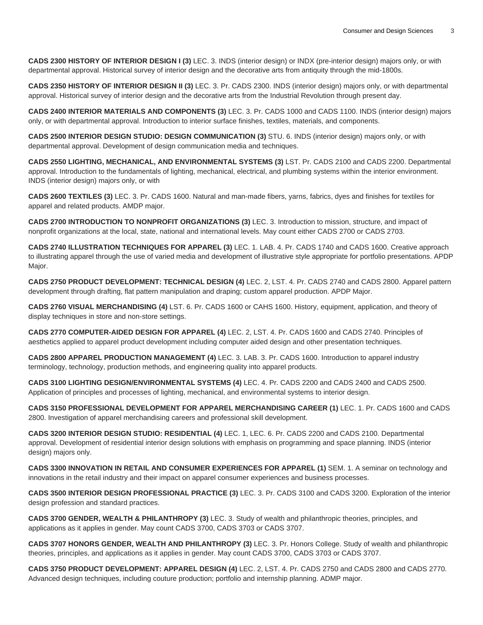**CADS 2300 HISTORY OF INTERIOR DESIGN I (3)** LEC. 3. INDS (interior design) or INDX (pre-interior design) majors only, or with departmental approval. Historical survey of interior design and the decorative arts from antiquity through the mid-1800s.

**CADS 2350 HISTORY OF INTERIOR DESIGN II (3)** LEC. 3. Pr. CADS 2300. INDS (interior design) majors only, or with departmental approval. Historical survey of interior design and the decorative arts from the Industrial Revolution through present day.

**CADS 2400 INTERIOR MATERIALS AND COMPONENTS (3)** LEC. 3. Pr. CADS 1000 and CADS 1100. INDS (interior design) majors only, or with departmental approval. Introduction to interior surface finishes, textiles, materials, and components.

**CADS 2500 INTERIOR DESIGN STUDIO: DESIGN COMMUNICATION (3)** STU. 6. INDS (interior design) majors only, or with departmental approval. Development of design communication media and techniques.

**CADS 2550 LIGHTING, MECHANICAL, AND ENVIRONMENTAL SYSTEMS (3)** LST. Pr. CADS 2100 and CADS 2200. Departmental approval. Introduction to the fundamentals of lighting, mechanical, electrical, and plumbing systems within the interior environment. INDS (interior design) majors only, or with

**CADS 2600 TEXTILES (3)** LEC. 3. Pr. CADS 1600. Natural and man-made fibers, yarns, fabrics, dyes and finishes for textiles for apparel and related products. AMDP major.

**CADS 2700 INTRODUCTION TO NONPROFIT ORGANIZATIONS (3)** LEC. 3. Introduction to mission, structure, and impact of nonprofit organizations at the local, state, national and international levels. May count either CADS 2700 or CADS 2703.

**CADS 2740 ILLUSTRATION TECHNIQUES FOR APPAREL (3)** LEC. 1. LAB. 4. Pr. CADS 1740 and CADS 1600. Creative approach to illustrating apparel through the use of varied media and development of illustrative style appropriate for portfolio presentations. APDP Major.

**CADS 2750 PRODUCT DEVELOPMENT: TECHNICAL DESIGN (4)** LEC. 2, LST. 4. Pr. CADS 2740 and CADS 2800. Apparel pattern development through drafting, flat pattern manipulation and draping; custom apparel production. APDP Major.

**CADS 2760 VISUAL MERCHANDISING (4)** LST. 6. Pr. CADS 1600 or CAHS 1600. History, equipment, application, and theory of display techniques in store and non-store settings.

**CADS 2770 COMPUTER-AIDED DESIGN FOR APPAREL (4)** LEC. 2, LST. 4. Pr. CADS 1600 and CADS 2740. Principles of aesthetics applied to apparel product development including computer aided design and other presentation techniques.

**CADS 2800 APPAREL PRODUCTION MANAGEMENT (4)** LEC. 3. LAB. 3. Pr. CADS 1600. Introduction to apparel industry terminology, technology, production methods, and engineering quality into apparel products.

**CADS 3100 LIGHTING DESIGN/ENVIRONMENTAL SYSTEMS (4)** LEC. 4. Pr. CADS 2200 and CADS 2400 and CADS 2500. Application of principles and processes of lighting, mechanical, and environmental systems to interior design.

**CADS 3150 PROFESSIONAL DEVELOPMENT FOR APPAREL MERCHANDISING CAREER (1)** LEC. 1. Pr. CADS 1600 and CADS 2800. Investigation of apparel merchandising careers and professional skill development.

**CADS 3200 INTERIOR DESIGN STUDIO: RESIDENTIAL (4)** LEC. 1, LEC. 6. Pr. CADS 2200 and CADS 2100. Departmental approval. Development of residential interior design solutions with emphasis on programming and space planning. INDS (interior design) majors only.

**CADS 3300 INNOVATION IN RETAIL AND CONSUMER EXPERIENCES FOR APPAREL (1)** SEM. 1. A seminar on technology and innovations in the retail industry and their impact on apparel consumer experiences and business processes.

**CADS 3500 INTERIOR DESIGN PROFESSIONAL PRACTICE (3)** LEC. 3. Pr. CADS 3100 and CADS 3200. Exploration of the interior design profession and standard practices.

**CADS 3700 GENDER, WEALTH & PHILANTHROPY (3)** LEC. 3. Study of wealth and philanthropic theories, principles, and applications as it applies in gender. May count CADS 3700, CADS 3703 or CADS 3707.

**CADS 3707 HONORS GENDER, WEALTH AND PHILANTHROPY (3)** LEC. 3. Pr. Honors College. Study of wealth and philanthropic theories, principles, and applications as it applies in gender. May count CADS 3700, CADS 3703 or CADS 3707.

**CADS 3750 PRODUCT DEVELOPMENT: APPAREL DESIGN (4)** LEC. 2, LST. 4. Pr. CADS 2750 and CADS 2800 and CADS 2770. Advanced design techniques, including couture production; portfolio and internship planning. ADMP major.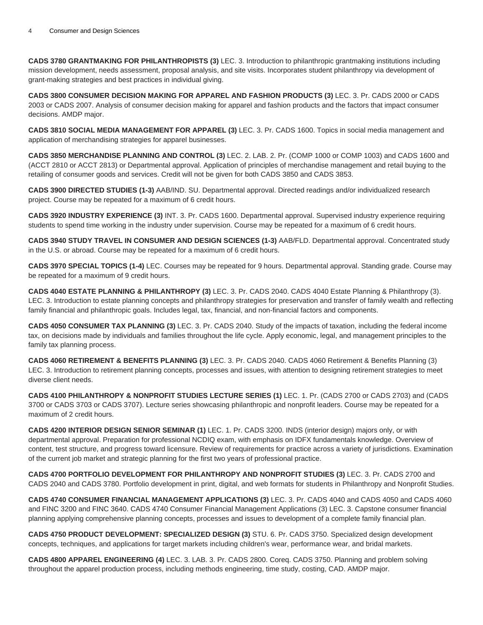**CADS 3780 GRANTMAKING FOR PHILANTHROPISTS (3)** LEC. 3. Introduction to philanthropic grantmaking institutions including mission development, needs assessment, proposal analysis, and site visits. Incorporates student philanthropy via development of grant-making strategies and best practices in individual giving.

**CADS 3800 CONSUMER DECISION MAKING FOR APPAREL AND FASHION PRODUCTS (3)** LEC. 3. Pr. CADS 2000 or CADS 2003 or CADS 2007. Analysis of consumer decision making for apparel and fashion products and the factors that impact consumer decisions. AMDP major.

**CADS 3810 SOCIAL MEDIA MANAGEMENT FOR APPAREL (3)** LEC. 3. Pr. CADS 1600. Topics in social media management and application of merchandising strategies for apparel businesses.

**CADS 3850 MERCHANDISE PLANNING AND CONTROL (3)** LEC. 2. LAB. 2. Pr. (COMP 1000 or COMP 1003) and CADS 1600 and (ACCT 2810 or ACCT 2813) or Departmental approval. Application of principles of merchandise management and retail buying to the retailing of consumer goods and services. Credit will not be given for both CADS 3850 and CADS 3853.

**CADS 3900 DIRECTED STUDIES (1-3)** AAB/IND. SU. Departmental approval. Directed readings and/or individualized research project. Course may be repeated for a maximum of 6 credit hours.

**CADS 3920 INDUSTRY EXPERIENCE (3)** INT. 3. Pr. CADS 1600. Departmental approval. Supervised industry experience requiring students to spend time working in the industry under supervision. Course may be repeated for a maximum of 6 credit hours.

**CADS 3940 STUDY TRAVEL IN CONSUMER AND DESIGN SCIENCES (1-3)** AAB/FLD. Departmental approval. Concentrated study in the U.S. or abroad. Course may be repeated for a maximum of 6 credit hours.

**CADS 3970 SPECIAL TOPICS (1-4)** LEC. Courses may be repeated for 9 hours. Departmental approval. Standing grade. Course may be repeated for a maximum of 9 credit hours.

**CADS 4040 ESTATE PLANNING & PHILANTHROPY (3)** LEC. 3. Pr. CADS 2040. CADS 4040 Estate Planning & Philanthropy (3). LEC. 3. Introduction to estate planning concepts and philanthropy strategies for preservation and transfer of family wealth and reflecting family financial and philanthropic goals. Includes legal, tax, financial, and non-financial factors and components.

**CADS 4050 CONSUMER TAX PLANNING (3)** LEC. 3. Pr. CADS 2040. Study of the impacts of taxation, including the federal income tax, on decisions made by individuals and families throughout the life cycle. Apply economic, legal, and management principles to the family tax planning process.

**CADS 4060 RETIREMENT & BENEFITS PLANNING (3)** LEC. 3. Pr. CADS 2040. CADS 4060 Retirement & Benefits Planning (3) LEC. 3. Introduction to retirement planning concepts, processes and issues, with attention to designing retirement strategies to meet diverse client needs.

**CADS 4100 PHILANTHROPY & NONPROFIT STUDIES LECTURE SERIES (1)** LEC. 1. Pr. (CADS 2700 or CADS 2703) and (CADS 3700 or CADS 3703 or CADS 3707). Lecture series showcasing philanthropic and nonprofit leaders. Course may be repeated for a maximum of 2 credit hours.

**CADS 4200 INTERIOR DESIGN SENIOR SEMINAR (1)** LEC. 1. Pr. CADS 3200. INDS (interior design) majors only, or with departmental approval. Preparation for professional NCDIQ exam, with emphasis on IDFX fundamentals knowledge. Overview of content, test structure, and progress toward licensure. Review of requirements for practice across a variety of jurisdictions. Examination of the current job market and strategic planning for the first two years of professional practice.

**CADS 4700 PORTFOLIO DEVELOPMENT FOR PHILANTHROPY AND NONPROFIT STUDIES (3)** LEC. 3. Pr. CADS 2700 and CADS 2040 and CADS 3780. Portfolio development in print, digital, and web formats for students in Philanthropy and Nonprofit Studies.

**CADS 4740 CONSUMER FINANCIAL MANAGEMENT APPLICATIONS (3)** LEC. 3. Pr. CADS 4040 and CADS 4050 and CADS 4060 and FINC 3200 and FINC 3640. CADS 4740 Consumer Financial Management Applications (3) LEC. 3. Capstone consumer financial planning applying comprehensive planning concepts, processes and issues to development of a complete family financial plan.

**CADS 4750 PRODUCT DEVELOPMENT: SPECIALIZED DESIGN (3)** STU. 6. Pr. CADS 3750. Specialized design development concepts, techniques, and applications for target markets including children's wear, performance wear, and bridal markets.

**CADS 4800 APPAREL ENGINEERING (4)** LEC. 3. LAB. 3. Pr. CADS 2800. Coreq. CADS 3750. Planning and problem solving throughout the apparel production process, including methods engineering, time study, costing, CAD. AMDP major.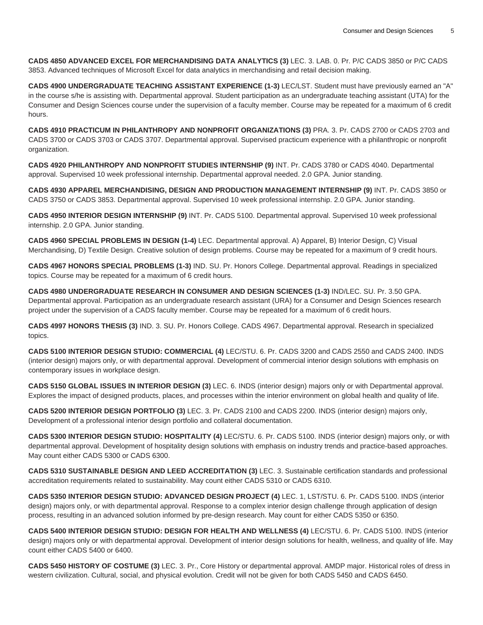**CADS 4850 ADVANCED EXCEL FOR MERCHANDISING DATA ANALYTICS (3)** LEC. 3. LAB. 0. Pr. P/C CADS 3850 or P/C CADS 3853. Advanced techniques of Microsoft Excel for data analytics in merchandising and retail decision making.

**CADS 4900 UNDERGRADUATE TEACHING ASSISTANT EXPERIENCE (1-3)** LEC/LST. Student must have previously earned an "A" in the course s/he is assisting with. Departmental approval. Student participation as an undergraduate teaching assistant (UTA) for the Consumer and Design Sciences course under the supervision of a faculty member. Course may be repeated for a maximum of 6 credit hours.

**CADS 4910 PRACTICUM IN PHILANTHROPY AND NONPROFIT ORGANIZATIONS (3)** PRA. 3. Pr. CADS 2700 or CADS 2703 and CADS 3700 or CADS 3703 or CADS 3707. Departmental approval. Supervised practicum experience with a philanthropic or nonprofit organization.

**CADS 4920 PHILANTHROPY AND NONPROFIT STUDIES INTERNSHIP (9)** INT. Pr. CADS 3780 or CADS 4040. Departmental approval. Supervised 10 week professional internship. Departmental approval needed. 2.0 GPA. Junior standing.

**CADS 4930 APPAREL MERCHANDISING, DESIGN AND PRODUCTION MANAGEMENT INTERNSHIP (9)** INT. Pr. CADS 3850 or CADS 3750 or CADS 3853. Departmental approval. Supervised 10 week professional internship. 2.0 GPA. Junior standing.

**CADS 4950 INTERIOR DESIGN INTERNSHIP (9)** INT. Pr. CADS 5100. Departmental approval. Supervised 10 week professional internship. 2.0 GPA. Junior standing.

**CADS 4960 SPECIAL PROBLEMS IN DESIGN (1-4)** LEC. Departmental approval. A) Apparel, B) Interior Design, C) Visual Merchandising, D) Textile Design. Creative solution of design problems. Course may be repeated for a maximum of 9 credit hours.

**CADS 4967 HONORS SPECIAL PROBLEMS (1-3)** IND. SU. Pr. Honors College. Departmental approval. Readings in specialized topics. Course may be repeated for a maximum of 6 credit hours.

**CADS 4980 UNDERGRADUATE RESEARCH IN CONSUMER AND DESIGN SCIENCES (1-3)** IND/LEC. SU. Pr. 3.50 GPA. Departmental approval. Participation as an undergraduate research assistant (URA) for a Consumer and Design Sciences research project under the supervision of a CADS faculty member. Course may be repeated for a maximum of 6 credit hours.

**CADS 4997 HONORS THESIS (3)** IND. 3. SU. Pr. Honors College. CADS 4967. Departmental approval. Research in specialized topics.

**CADS 5100 INTERIOR DESIGN STUDIO: COMMERCIAL (4)** LEC/STU. 6. Pr. CADS 3200 and CADS 2550 and CADS 2400. INDS (interior design) majors only, or with departmental approval. Development of commercial interior design solutions with emphasis on contemporary issues in workplace design.

**CADS 5150 GLOBAL ISSUES IN INTERIOR DESIGN (3)** LEC. 6. INDS (interior design) majors only or with Departmental approval. Explores the impact of designed products, places, and processes within the interior environment on global health and quality of life.

**CADS 5200 INTERIOR DESIGN PORTFOLIO (3)** LEC. 3. Pr. CADS 2100 and CADS 2200. INDS (interior design) majors only, Development of a professional interior design portfolio and collateral documentation.

**CADS 5300 INTERIOR DESIGN STUDIO: HOSPITALITY (4)** LEC/STU. 6. Pr. CADS 5100. INDS (interior design) majors only, or with departmental approval. Development of hospitality design solutions with emphasis on industry trends and practice-based approaches. May count either CADS 5300 or CADS 6300.

**CADS 5310 SUSTAINABLE DESIGN AND LEED ACCREDITATION (3)** LEC. 3. Sustainable certification standards and professional accreditation requirements related to sustainability. May count either CADS 5310 or CADS 6310.

**CADS 5350 INTERIOR DESIGN STUDIO: ADVANCED DESIGN PROJECT (4)** LEC. 1, LST/STU. 6. Pr. CADS 5100. INDS (interior design) majors only, or with departmental approval. Response to a complex interior design challenge through application of design process, resulting in an advanced solution informed by pre-design research. May count for either CADS 5350 or 6350.

**CADS 5400 INTERIOR DESIGN STUDIO: DESIGN FOR HEALTH AND WELLNESS (4)** LEC/STU. 6. Pr. CADS 5100. INDS (interior design) majors only or with departmental approval. Development of interior design solutions for health, wellness, and quality of life. May count either CADS 5400 or 6400.

**CADS 5450 HISTORY OF COSTUME (3)** LEC. 3. Pr., Core History or departmental approval. AMDP major. Historical roles of dress in western civilization. Cultural, social, and physical evolution. Credit will not be given for both CADS 5450 and CADS 6450.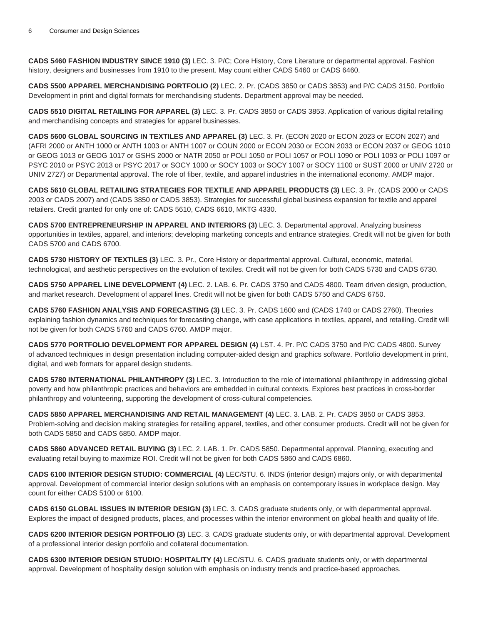**CADS 5460 FASHION INDUSTRY SINCE 1910 (3)** LEC. 3. P/C; Core History, Core Literature or departmental approval. Fashion history, designers and businesses from 1910 to the present. May count either CADS 5460 or CADS 6460.

**CADS 5500 APPAREL MERCHANDISING PORTFOLIO (2)** LEC. 2. Pr. (CADS 3850 or CADS 3853) and P/C CADS 3150. Portfolio Development in print and digital formats for merchandising students. Department approval may be needed.

**CADS 5510 DIGITAL RETAILING FOR APPAREL (3)** LEC. 3. Pr. CADS 3850 or CADS 3853. Application of various digital retailing and merchandising concepts and strategies for apparel businesses.

**CADS 5600 GLOBAL SOURCING IN TEXTILES AND APPAREL (3)** LEC. 3. Pr. (ECON 2020 or ECON 2023 or ECON 2027) and (AFRI 2000 or ANTH 1000 or ANTH 1003 or ANTH 1007 or COUN 2000 or ECON 2030 or ECON 2033 or ECON 2037 or GEOG 1010 or GEOG 1013 or GEOG 1017 or GSHS 2000 or NATR 2050 or POLI 1050 or POLI 1057 or POLI 1090 or POLI 1093 or POLI 1097 or PSYC 2010 or PSYC 2013 or PSYC 2017 or SOCY 1000 or SOCY 1003 or SOCY 1007 or SOCY 1100 or SUST 2000 or UNIV 2720 or UNIV 2727) or Departmental approval. The role of fiber, textile, and apparel industries in the international economy. AMDP major.

**CADS 5610 GLOBAL RETAILING STRATEGIES FOR TEXTILE AND APPAREL PRODUCTS (3)** LEC. 3. Pr. (CADS 2000 or CADS 2003 or CADS 2007) and (CADS 3850 or CADS 3853). Strategies for successful global business expansion for textile and apparel retailers. Credit granted for only one of: CADS 5610, CADS 6610, MKTG 4330.

**CADS 5700 ENTREPRENEURSHIP IN APPAREL AND INTERIORS (3)** LEC. 3. Departmental approval. Analyzing business opportunities in textiles, apparel, and interiors; developing marketing concepts and entrance strategies. Credit will not be given for both CADS 5700 and CADS 6700.

**CADS 5730 HISTORY OF TEXTILES (3)** LEC. 3. Pr., Core History or departmental approval. Cultural, economic, material, technological, and aesthetic perspectives on the evolution of textiles. Credit will not be given for both CADS 5730 and CADS 6730.

**CADS 5750 APPAREL LINE DEVELOPMENT (4)** LEC. 2. LAB. 6. Pr. CADS 3750 and CADS 4800. Team driven design, production, and market research. Development of apparel lines. Credit will not be given for both CADS 5750 and CADS 6750.

**CADS 5760 FASHION ANALYSIS AND FORECASTING (3)** LEC. 3. Pr. CADS 1600 and (CADS 1740 or CADS 2760). Theories explaining fashion dynamics and techniques for forecasting change, with case applications in textiles, apparel, and retailing. Credit will not be given for both CADS 5760 and CADS 6760. AMDP major.

**CADS 5770 PORTFOLIO DEVELOPMENT FOR APPAREL DESIGN (4)** LST. 4. Pr. P/C CADS 3750 and P/C CADS 4800. Survey of advanced techniques in design presentation including computer-aided design and graphics software. Portfolio development in print, digital, and web formats for apparel design students.

**CADS 5780 INTERNATIONAL PHILANTHROPY (3)** LEC. 3. Introduction to the role of international philanthropy in addressing global poverty and how philanthropic practices and behaviors are embedded in cultural contexts. Explores best practices in cross-border philanthropy and volunteering, supporting the development of cross-cultural competencies.

**CADS 5850 APPAREL MERCHANDISING AND RETAIL MANAGEMENT (4)** LEC. 3. LAB. 2. Pr. CADS 3850 or CADS 3853. Problem-solving and decision making strategies for retailing apparel, textiles, and other consumer products. Credit will not be given for both CADS 5850 and CADS 6850. AMDP major.

**CADS 5860 ADVANCED RETAIL BUYING (3)** LEC. 2. LAB. 1. Pr. CADS 5850. Departmental approval. Planning, executing and evaluating retail buying to maximize ROI. Credit will not be given for both CADS 5860 and CADS 6860.

**CADS 6100 INTERIOR DESIGN STUDIO: COMMERCIAL (4)** LEC/STU. 6. INDS (interior design) majors only, or with departmental approval. Development of commercial interior design solutions with an emphasis on contemporary issues in workplace design. May count for either CADS 5100 or 6100.

**CADS 6150 GLOBAL ISSUES IN INTERIOR DESIGN (3)** LEC. 3. CADS graduate students only, or with departmental approval. Explores the impact of designed products, places, and processes within the interior environment on global health and quality of life.

**CADS 6200 INTERIOR DESIGN PORTFOLIO (3)** LEC. 3. CADS graduate students only, or with departmental approval. Development of a professional interior design portfolio and collateral documentation.

**CADS 6300 INTERIOR DESIGN STUDIO: HOSPITALITY (4)** LEC/STU. 6. CADS graduate students only, or with departmental approval. Development of hospitality design solution with emphasis on industry trends and practice-based approaches.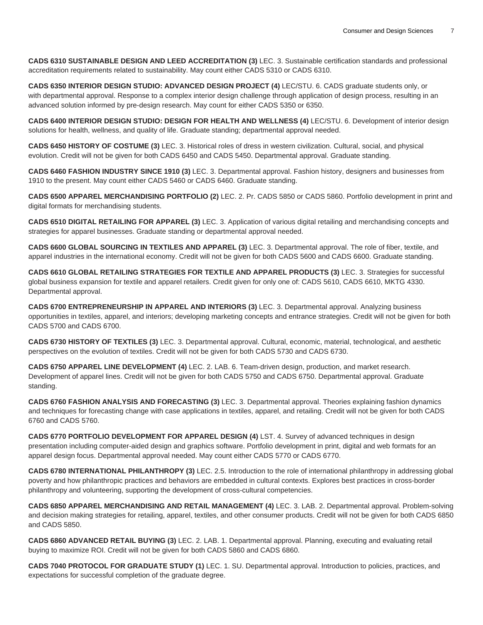**CADS 6310 SUSTAINABLE DESIGN AND LEED ACCREDITATION (3)** LEC. 3. Sustainable certification standards and professional accreditation requirements related to sustainability. May count either CADS 5310 or CADS 6310.

**CADS 6350 INTERIOR DESIGN STUDIO: ADVANCED DESIGN PROJECT (4)** LEC/STU. 6. CADS graduate students only, or with departmental approval. Response to a complex interior design challenge through application of design process, resulting in an advanced solution informed by pre-design research. May count for either CADS 5350 or 6350.

**CADS 6400 INTERIOR DESIGN STUDIO: DESIGN FOR HEALTH AND WELLNESS (4)** LEC/STU. 6. Development of interior design solutions for health, wellness, and quality of life. Graduate standing; departmental approval needed.

**CADS 6450 HISTORY OF COSTUME (3)** LEC. 3. Historical roles of dress in western civilization. Cultural, social, and physical evolution. Credit will not be given for both CADS 6450 and CADS 5450. Departmental approval. Graduate standing.

**CADS 6460 FASHION INDUSTRY SINCE 1910 (3)** LEC. 3. Departmental approval. Fashion history, designers and businesses from 1910 to the present. May count either CADS 5460 or CADS 6460. Graduate standing.

**CADS 6500 APPAREL MERCHANDISING PORTFOLIO (2)** LEC. 2. Pr. CADS 5850 or CADS 5860. Portfolio development in print and digital formats for merchandising students.

**CADS 6510 DIGITAL RETAILING FOR APPAREL (3)** LEC. 3. Application of various digital retailing and merchandising concepts and strategies for apparel businesses. Graduate standing or departmental approval needed.

**CADS 6600 GLOBAL SOURCING IN TEXTILES AND APPAREL (3)** LEC. 3. Departmental approval. The role of fiber, textile, and apparel industries in the international economy. Credit will not be given for both CADS 5600 and CADS 6600. Graduate standing.

**CADS 6610 GLOBAL RETAILING STRATEGIES FOR TEXTILE AND APPAREL PRODUCTS (3)** LEC. 3. Strategies for successful global business expansion for textile and apparel retailers. Credit given for only one of: CADS 5610, CADS 6610, MKTG 4330. Departmental approval.

**CADS 6700 ENTREPRENEURSHIP IN APPAREL AND INTERIORS (3)** LEC. 3. Departmental approval. Analyzing business opportunities in textiles, apparel, and interiors; developing marketing concepts and entrance strategies. Credit will not be given for both CADS 5700 and CADS 6700.

**CADS 6730 HISTORY OF TEXTILES (3)** LEC. 3. Departmental approval. Cultural, economic, material, technological, and aesthetic perspectives on the evolution of textiles. Credit will not be given for both CADS 5730 and CADS 6730.

**CADS 6750 APPAREL LINE DEVELOPMENT (4)** LEC. 2. LAB. 6. Team-driven design, production, and market research. Development of apparel lines. Credit will not be given for both CADS 5750 and CADS 6750. Departmental approval. Graduate standing.

**CADS 6760 FASHION ANALYSIS AND FORECASTING (3)** LEC. 3. Departmental approval. Theories explaining fashion dynamics and techniques for forecasting change with case applications in textiles, apparel, and retailing. Credit will not be given for both CADS 6760 and CADS 5760.

**CADS 6770 PORTFOLIO DEVELOPMENT FOR APPAREL DESIGN (4)** LST. 4. Survey of advanced techniques in design presentation including computer-aided design and graphics software. Portfolio development in print, digital and web formats for an apparel design focus. Departmental approval needed. May count either CADS 5770 or CADS 6770.

**CADS 6780 INTERNATIONAL PHILANTHROPY (3)** LEC. 2.5. Introduction to the role of international philanthropy in addressing global poverty and how philanthropic practices and behaviors are embedded in cultural contexts. Explores best practices in cross-border philanthropy and volunteering, supporting the development of cross-cultural competencies.

**CADS 6850 APPAREL MERCHANDISING AND RETAIL MANAGEMENT (4)** LEC. 3. LAB. 2. Departmental approval. Problem-solving and decision making strategies for retailing, apparel, textiles, and other consumer products. Credit will not be given for both CADS 6850 and CADS 5850.

**CADS 6860 ADVANCED RETAIL BUYING (3)** LEC. 2. LAB. 1. Departmental approval. Planning, executing and evaluating retail buying to maximize ROI. Credit will not be given for both CADS 5860 and CADS 6860.

**CADS 7040 PROTOCOL FOR GRADUATE STUDY (1)** LEC. 1. SU. Departmental approval. Introduction to policies, practices, and expectations for successful completion of the graduate degree.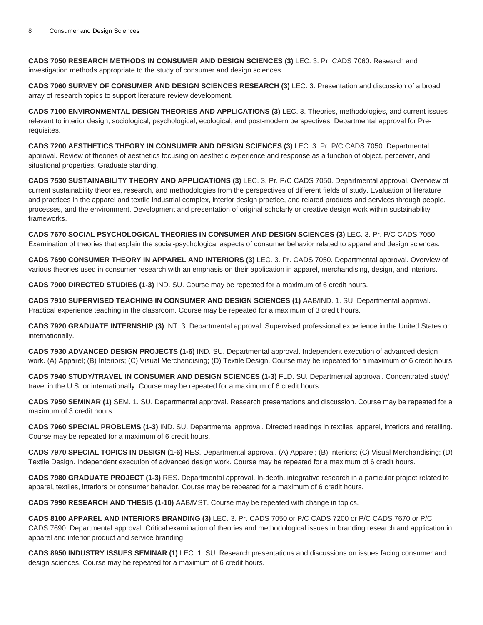**CADS 7050 RESEARCH METHODS IN CONSUMER AND DESIGN SCIENCES (3)** LEC. 3. Pr. CADS 7060. Research and investigation methods appropriate to the study of consumer and design sciences.

**CADS 7060 SURVEY OF CONSUMER AND DESIGN SCIENCES RESEARCH (3)** LEC. 3. Presentation and discussion of a broad array of research topics to support literature review development.

**CADS 7100 ENVIRONMENTAL DESIGN THEORIES AND APPLICATIONS (3)** LEC. 3. Theories, methodologies, and current issues relevant to interior design; sociological, psychological, ecological, and post-modern perspectives. Departmental approval for Prerequisites.

**CADS 7200 AESTHETICS THEORY IN CONSUMER AND DESIGN SCIENCES (3)** LEC. 3. Pr. P/C CADS 7050. Departmental approval. Review of theories of aesthetics focusing on aesthetic experience and response as a function of object, perceiver, and situational properties. Graduate standing.

**CADS 7530 SUSTAINABILITY THEORY AND APPLICATIONS (3)** LEC. 3. Pr. P/C CADS 7050. Departmental approval. Overview of current sustainability theories, research, and methodologies from the perspectives of different fields of study. Evaluation of literature and practices in the apparel and textile industrial complex, interior design practice, and related products and services through people, processes, and the environment. Development and presentation of original scholarly or creative design work within sustainability frameworks.

**CADS 7670 SOCIAL PSYCHOLOGICAL THEORIES IN CONSUMER AND DESIGN SCIENCES (3)** LEC. 3. Pr. P/C CADS 7050. Examination of theories that explain the social-psychological aspects of consumer behavior related to apparel and design sciences.

**CADS 7690 CONSUMER THEORY IN APPAREL AND INTERIORS (3)** LEC. 3. Pr. CADS 7050. Departmental approval. Overview of various theories used in consumer research with an emphasis on their application in apparel, merchandising, design, and interiors.

**CADS 7900 DIRECTED STUDIES (1-3)** IND. SU. Course may be repeated for a maximum of 6 credit hours.

**CADS 7910 SUPERVISED TEACHING IN CONSUMER AND DESIGN SCIENCES (1)** AAB/IND. 1. SU. Departmental approval. Practical experience teaching in the classroom. Course may be repeated for a maximum of 3 credit hours.

**CADS 7920 GRADUATE INTERNSHIP (3)** INT. 3. Departmental approval. Supervised professional experience in the United States or internationally.

**CADS 7930 ADVANCED DESIGN PROJECTS (1-6)** IND. SU. Departmental approval. Independent execution of advanced design work. (A) Apparel; (B) Interiors; (C) Visual Merchandising; (D) Textile Design. Course may be repeated for a maximum of 6 credit hours.

**CADS 7940 STUDY/TRAVEL IN CONSUMER AND DESIGN SCIENCES (1-3)** FLD. SU. Departmental approval. Concentrated study/ travel in the U.S. or internationally. Course may be repeated for a maximum of 6 credit hours.

**CADS 7950 SEMINAR (1)** SEM. 1. SU. Departmental approval. Research presentations and discussion. Course may be repeated for a maximum of 3 credit hours.

**CADS 7960 SPECIAL PROBLEMS (1-3)** IND. SU. Departmental approval. Directed readings in textiles, apparel, interiors and retailing. Course may be repeated for a maximum of 6 credit hours.

**CADS 7970 SPECIAL TOPICS IN DESIGN (1-6)** RES. Departmental approval. (A) Apparel; (B) Interiors; (C) Visual Merchandising; (D) Textile Design. Independent execution of advanced design work. Course may be repeated for a maximum of 6 credit hours.

**CADS 7980 GRADUATE PROJECT (1-3)** RES. Departmental approval. In-depth, integrative research in a particular project related to apparel, textiles, interiors or consumer behavior. Course may be repeated for a maximum of 6 credit hours.

**CADS 7990 RESEARCH AND THESIS (1-10)** AAB/MST. Course may be repeated with change in topics.

**CADS 8100 APPAREL AND INTERIORS BRANDING (3)** LEC. 3. Pr. CADS 7050 or P/C CADS 7200 or P/C CADS 7670 or P/C CADS 7690. Departmental approval. Critical examination of theories and methodological issues in branding research and application in apparel and interior product and service branding.

**CADS 8950 INDUSTRY ISSUES SEMINAR (1)** LEC. 1. SU. Research presentations and discussions on issues facing consumer and design sciences. Course may be repeated for a maximum of 6 credit hours.